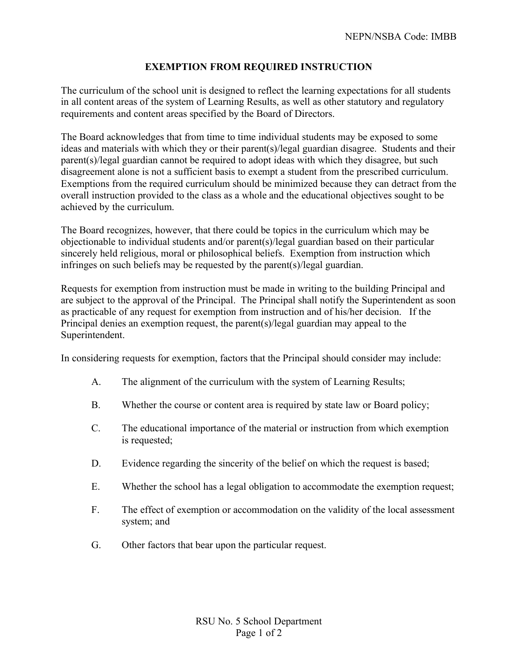## **EXEMPTION FROM REQUIRED INSTRUCTION**

The curriculum of the school unit is designed to reflect the learning expectations for all students in all content areas of the system of Learning Results, as well as other statutory and regulatory requirements and content areas specified by the Board of Directors.

The Board acknowledges that from time to time individual students may be exposed to some ideas and materials with which they or their parent(s)/legal guardian disagree. Students and their parent(s)/legal guardian cannot be required to adopt ideas with which they disagree, but such disagreement alone is not a sufficient basis to exempt a student from the prescribed curriculum. Exemptions from the required curriculum should be minimized because they can detract from the overall instruction provided to the class as a whole and the educational objectives sought to be achieved by the curriculum.

The Board recognizes, however, that there could be topics in the curriculum which may be objectionable to individual students and/or parent(s)/legal guardian based on their particular sincerely held religious, moral or philosophical beliefs. Exemption from instruction which infringes on such beliefs may be requested by the parent(s)/legal guardian.

Requests for exemption from instruction must be made in writing to the building Principal and are subject to the approval of the Principal. The Principal shall notify the Superintendent as soon as practicable of any request for exemption from instruction and of his/her decision. If the Principal denies an exemption request, the parent(s)/legal guardian may appeal to the Superintendent.

In considering requests for exemption, factors that the Principal should consider may include:

- A. The alignment of the curriculum with the system of Learning Results;
- B. Whether the course or content area is required by state law or Board policy;
- C. The educational importance of the material or instruction from which exemption is requested;
- D. Evidence regarding the sincerity of the belief on which the request is based;
- E. Whether the school has a legal obligation to accommodate the exemption request;
- F. The effect of exemption or accommodation on the validity of the local assessment system; and
- G. Other factors that bear upon the particular request.